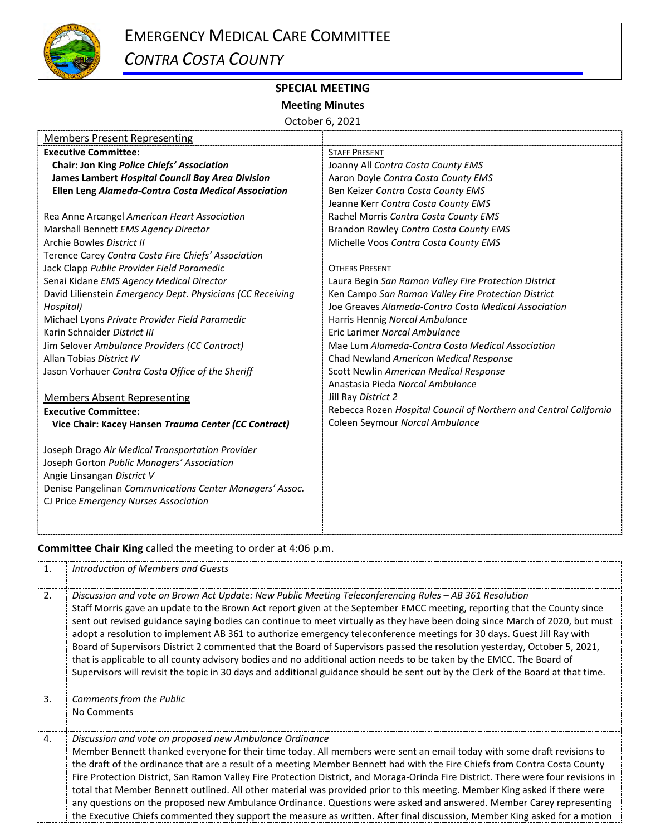

## **SPECIAL MEETING**

## **Meeting Minutes**

October 6, 2021

| <b>Members Present Representing</b>                        |                                                                   |
|------------------------------------------------------------|-------------------------------------------------------------------|
| <b>Executive Committee:</b>                                | <b>STAFF PRESENT</b>                                              |
| Chair: Jon King Police Chiefs' Association                 | Joanny All Contra Costa County EMS                                |
| James Lambert Hospital Council Bay Area Division           | Aaron Doyle Contra Costa County EMS                               |
| Ellen Leng Alameda-Contra Costa Medical Association        | Ben Keizer Contra Costa County EMS                                |
|                                                            | Jeanne Kerr Contra Costa County EMS                               |
| Rea Anne Arcangel American Heart Association               | Rachel Morris Contra Costa County EMS                             |
| Marshall Bennett EMS Agency Director                       | Brandon Rowley Contra Costa County EMS                            |
| Archie Bowles District II                                  | Michelle Voos Contra Costa County EMS                             |
| Terence Carey Contra Costa Fire Chiefs' Association        |                                                                   |
| Jack Clapp Public Provider Field Paramedic                 | <b>OTHERS PRESENT</b>                                             |
| Senai Kidane EMS Agency Medical Director                   | Laura Begin San Ramon Valley Fire Protection District             |
| David Lilienstein Emergency Dept. Physicians (CC Receiving | Ken Campo San Ramon Valley Fire Protection District               |
| Hospital)                                                  | Joe Greaves Alameda-Contra Costa Medical Association              |
| Michael Lyons Private Provider Field Paramedic             | Harris Hennig Norcal Ambulance                                    |
| Karin Schnaider District III                               | Eric Larimer Norcal Ambulance                                     |
| Jim Selover Ambulance Providers (CC Contract)              | Mae Lum Alameda-Contra Costa Medical Association                  |
| Allan Tobias District IV                                   | Chad Newland American Medical Response                            |
| Jason Vorhauer Contra Costa Office of the Sheriff          | Scott Newlin American Medical Response                            |
|                                                            | Anastasia Pieda Norcal Ambulance                                  |
| <b>Members Absent Representing</b>                         | Jill Ray District 2                                               |
| <b>Executive Committee:</b>                                | Rebecca Rozen Hospital Council of Northern and Central California |
| Vice Chair: Kacey Hansen Trauma Center (CC Contract)       | Coleen Seymour Norcal Ambulance                                   |
|                                                            |                                                                   |
| Joseph Drago Air Medical Transportation Provider           |                                                                   |
| Joseph Gorton Public Managers' Association                 |                                                                   |
| Angie Linsangan District V                                 |                                                                   |
| Denise Pangelinan Communications Center Managers' Assoc.   |                                                                   |
| CJ Price Emergency Nurses Association                      |                                                                   |
|                                                            |                                                                   |

**Committee Chair King** called the meeting to order at 4:06 p.m.

| 1. | Introduction of Members and Guests                                                                                                                                                                                                                                                                                                                                                                                                                                                                                                                                                                                                                                                                                                                                                                                                                                                     |
|----|----------------------------------------------------------------------------------------------------------------------------------------------------------------------------------------------------------------------------------------------------------------------------------------------------------------------------------------------------------------------------------------------------------------------------------------------------------------------------------------------------------------------------------------------------------------------------------------------------------------------------------------------------------------------------------------------------------------------------------------------------------------------------------------------------------------------------------------------------------------------------------------|
| 2. | Discussion and vote on Brown Act Update: New Public Meeting Teleconferencing Rules – AB 361 Resolution<br>Staff Morris gave an update to the Brown Act report given at the September EMCC meeting, reporting that the County since<br>sent out revised guidance saying bodies can continue to meet virtually as they have been doing since March of 2020, but must<br>adopt a resolution to implement AB 361 to authorize emergency teleconference meetings for 30 days. Guest Jill Ray with<br>Board of Supervisors District 2 commented that the Board of Supervisors passed the resolution yesterday, October 5, 2021,<br>that is applicable to all county advisory bodies and no additional action needs to be taken by the EMCC. The Board of<br>Supervisors will revisit the topic in 30 days and additional guidance should be sent out by the Clerk of the Board at that time. |
| 3. | Comments from the Public<br>No Comments                                                                                                                                                                                                                                                                                                                                                                                                                                                                                                                                                                                                                                                                                                                                                                                                                                                |
| 4. | Discussion and vote on proposed new Ambulance Ordinance<br>Member Bennett thanked everyone for their time today. All members were sent an email today with some draft revisions to<br>the draft of the ordinance that are a result of a meeting Member Bennett had with the Fire Chiefs from Contra Costa County<br>Fire Protection District, San Ramon Valley Fire Protection District, and Moraga-Orinda Fire District. There were four revisions in<br>total that Member Bennett outlined. All other material was provided prior to this meeting. Member King asked if there were<br>any questions on the proposed new Ambulance Ordinance. Questions were asked and answered. Member Carey representing<br>the Executive Chiefs commented they support the measure as written. After final discussion, Member King asked for a motion                                              |